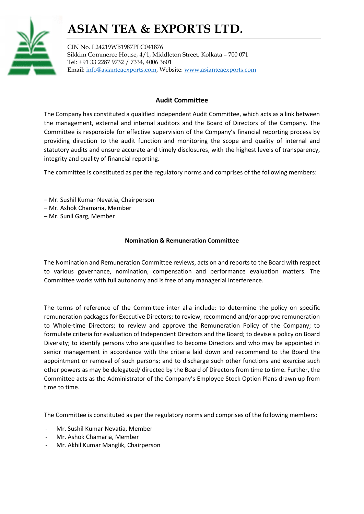# ASIAN TEA & EXPORTS LTD.



CIN No. L24219WB1987PLC041876 Sikkim Commerce House, 4/1, Middleton Street, Kolkata – 700 071 Tel: +91 33 2287 9732 / 7334, 4006 3601 Email: info@asianteaexports.com, Website: www.asianteaexports.com

### Audit Committee

The Company has constituted a qualified independent Audit Committee, which acts as a link between the management, external and internal auditors and the Board of Directors of the Company. The Committee is responsible for effective supervision of the Company's financial reporting process by providing direction to the audit function and monitoring the scope and quality of internal and statutory audits and ensure accurate and timely disclosures, with the highest levels of transparency, integrity and quality of financial reporting.

The committee is constituted as per the regulatory norms and comprises of the following members:

- Mr. Sushil Kumar Nevatia, Chairperson
- Mr. Ashok Chamaria, Member
- Mr. Sunil Garg, Member

### Nomination & Remuneration Committee

The Nomination and Remuneration Committee reviews, acts on and reports to the Board with respect to various governance, nomination, compensation and performance evaluation matters. The Committee works with full autonomy and is free of any managerial interference.

The terms of reference of the Committee inter alia include: to determine the policy on specific remuneration packages for Executive Directors; to review, recommend and/or approve remuneration to Whole-time Directors; to review and approve the Remuneration Policy of the Company; to formulate criteria for evaluation of Independent Directors and the Board; to devise a policy on Board Diversity; to identify persons who are qualified to become Directors and who may be appointed in senior management in accordance with the criteria laid down and recommend to the Board the appointment or removal of such persons; and to discharge such other functions and exercise such other powers as may be delegated/ directed by the Board of Directors from time to time. Further, the Committee acts as the Administrator of the Company's Employee Stock Option Plans drawn up from time to time.

The Committee is constituted as per the regulatory norms and comprises of the following members:

- Mr. Sushil Kumar Nevatia, Member
- Mr. Ashok Chamaria, Member
- Mr. Akhil Kumar Manglik, Chairperson